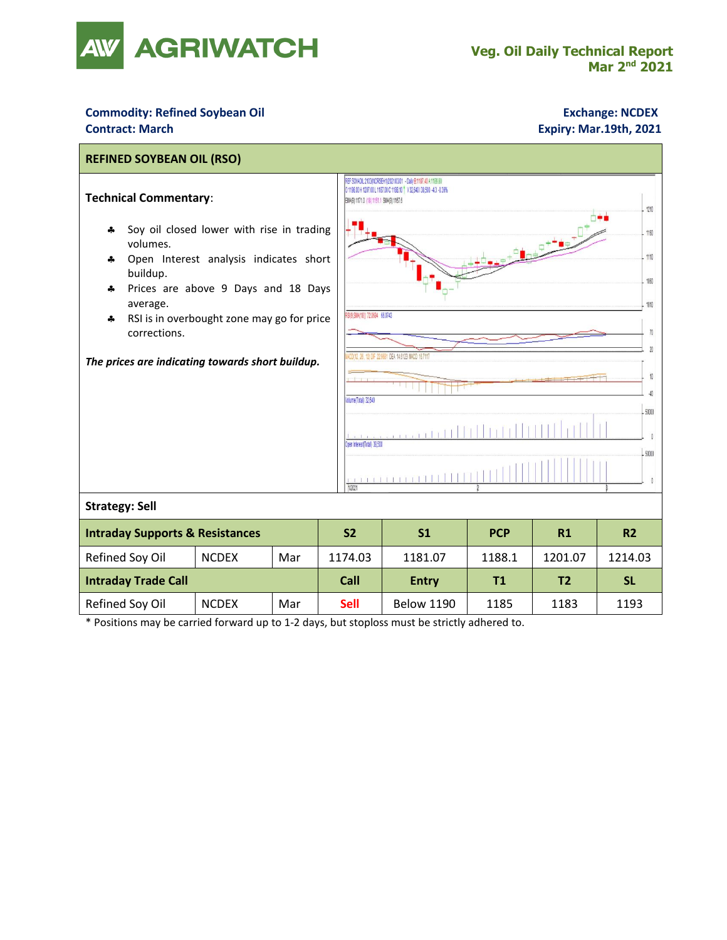

## **Commodity: Refined Soybean Oil <b>Exchange: NCDEX Exchange: NCDEX**

## **Contract: March Expiry: Mar.19th, 2021**